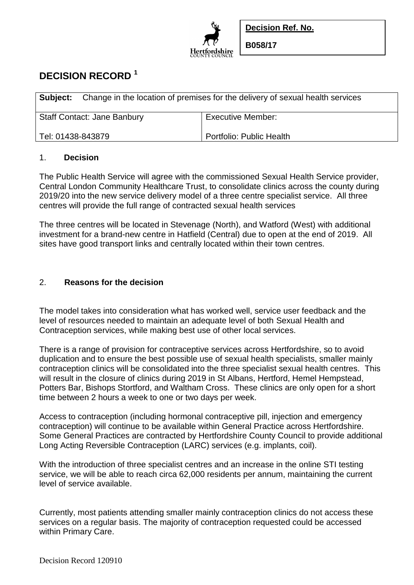

**Decision Ref. No.**

**B058/17**

# **DECISION RECORD <sup>1</sup>**

| <b>Subject:</b> Change in the location of premises for the delivery of sexual health services |                                    |                          |
|-----------------------------------------------------------------------------------------------|------------------------------------|--------------------------|
|                                                                                               | <b>Staff Contact: Jane Banbury</b> | <b>Executive Member:</b> |
| Tel: 01438-843879                                                                             |                                    | Portfolio: Public Health |

#### 1. **Decision**

The Public Health Service will agree with the commissioned Sexual Health Service provider, Central London Community Healthcare Trust, to consolidate clinics across the county during 2019/20 into the new service delivery model of a three centre specialist service. All three centres will provide the full range of contracted sexual health services

The three centres will be located in Stevenage (North), and Watford (West) with additional investment for a brand-new centre in Hatfield (Central) due to open at the end of 2019. All sites have good transport links and centrally located within their town centres.

# 2. **Reasons for the decision**

The model takes into consideration what has worked well, service user feedback and the level of resources needed to maintain an adequate level of both Sexual Health and Contraception services, while making best use of other local services.

There is a range of provision for contraceptive services across Hertfordshire, so to avoid duplication and to ensure the best possible use of sexual health specialists, smaller mainly contraception clinics will be consolidated into the three specialist sexual health centres. This will result in the closure of clinics during 2019 in St Albans, Hertford, Hemel Hempstead, Potters Bar, Bishops Stortford, and Waltham Cross. These clinics are only open for a short time between 2 hours a week to one or two days per week.

Access to contraception (including hormonal contraceptive pill, injection and emergency contraception) will continue to be available within General Practice across Hertfordshire. Some General Practices are contracted by Hertfordshire County Council to provide additional Long Acting Reversible Contraception (LARC) services (e.g. implants, coil).

With the introduction of three specialist centres and an increase in the online STI testing service, we will be able to reach circa 62,000 residents per annum, maintaining the current level of service available.

Currently, most patients attending smaller mainly contraception clinics do not access these services on a regular basis. The majority of contraception requested could be accessed within Primary Care.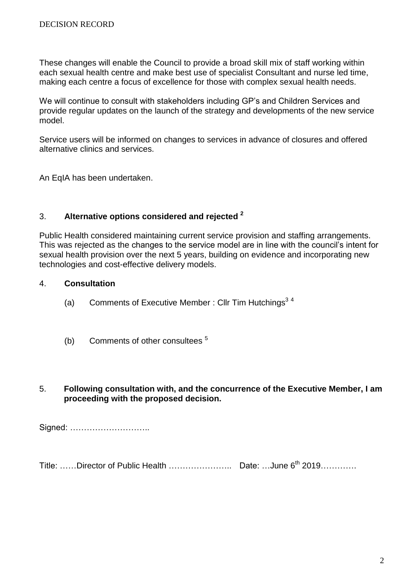These changes will enable the Council to provide a broad skill mix of staff working within each sexual health centre and make best use of specialist Consultant and nurse led time, making each centre a focus of excellence for those with complex sexual health needs.

We will continue to consult with stakeholders including GP's and Children Services and provide regular updates on the launch of the strategy and developments of the new service model.

Service users will be informed on changes to services in advance of closures and offered alternative clinics and services.

An EqIA has been undertaken.

## 3. **Alternative options considered and rejected <sup>2</sup>**

Public Health considered maintaining current service provision and staffing arrangements. This was rejected as the changes to the service model are in line with the council's intent for sexual health provision over the next 5 years, building on evidence and incorporating new technologies and cost-effective delivery models.

### 4. **Consultation**

- (a) Comments of Executive Member : Cllr Tim Hutchings<sup>34</sup>
- (b) Comments of other consultees <sup>5</sup>

### 5. **Following consultation with, and the concurrence of the Executive Member, I am proceeding with the proposed decision.**

Signed: ………………………..

Title: ……Director of Public Health ………………….. Date: …June 6th 2019………….